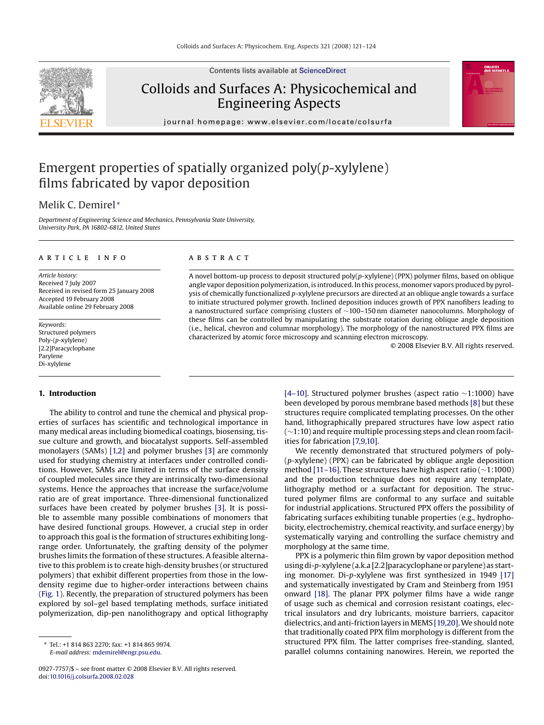Contents lists available at [ScienceDirect](http://www.sciencedirect.com/science/journal/09277757)

# Colloids and Surfaces A: Physicochemical and Engineering Aspects





journal homepage: www.elsevier.com/locate/colsurfa

## Emergent properties of spatially organized poly(*p*-xylylene) films fabricated by vapor deposition

### Melik C. Demirel <sup>∗</sup>

*Department of Engineering Science and Mechanics, Pennsylvania State University, University Park, PA 16802-6812, United States*

#### article info

*Article history:* Received 7 July 2007 Received in revised form 25 January 2008 Accepted 19 February 2008 Available online 29 February 2008

*Keywords:* Structured polymers Poly-(*p*-xylylene) [2.2]Paracyclophane Parylene Di-xylylene

#### **1. Introduction**

The ability to control and tune the chemical and physical properties of surfaces has scientific and technological importance in many medical areas including biomedical coatings, biosensing, tissue culture and growth, and biocatalyst supports. Self-assembled monolayers (SAMs) [\[1,2\]](#page-3-0) and polymer brushes [\[3\]](#page-3-0) are commonly used for studying chemistry at interfaces under controlled conditions. However, SAMs are limited in terms of the surface density of coupled molecules since they are intrinsically two-dimensional systems. Hence the approaches that increase the surface/volume ratio are of great importance. Three-dimensional functionalized surfaces have been created by polymer brushes [\[3\].](#page-3-0) It is possible to assemble many possible combinations of monomers that have desired functional groups. However, a crucial step in order to approach this goal is the formation of structures exhibiting longrange order. Unfortunately, the grafting density of the polymer brushes limits the formation of these structures. A feasible alternative to this problem is to create high-density brushes (or structured polymers) that exhibit different properties from those in the lowdensity regime due to higher-order interactions between chains [\(Fig. 1\).](#page-1-0) Recently, the preparation of structured polymers has been explored by sol–gel based templating methods, surface initiated polymerization, dip-pen nanolithograpy and optical lithography

#### **ABSTRACT**

A novel bottom-up process to deposit structured poly(*p*-xylylene) (PPX) polymer films, based on oblique angle vapor deposition polymerization, is introduced. In this process, monomer vapors produced by pyrolysis of chemically functionalized *p*-xylylene precursors are directed at an oblique angle towards a surface to initiate structured polymer growth. Inclined deposition induces growth of PPX nanofibers leading to a nanostructured surface comprising clusters of ∼100–150 nm diameter nanocolumns. Morphology of these films can be controlled by manipulating the substrate rotation during oblique angle deposition (i.e., helical, chevron and columnar morphology). The morphology of the nanostructured PPX films are characterized by atomic force microscopy and scanning electron microscopy.

© 2008 Elsevier B.V. All rights reserved.

[\[4–10\].](#page-3-0) Structured polymer brushes (aspect ratio ∼1:1000) have been developed by porous membrane based methods [\[8\]](#page-3-0) but these structures require complicated templating processes. On the other hand, lithographically prepared structures have low aspect ratio (∼1:10) and require multiple processing steps and clean room facilities for fabrication [\[7,9,10\].](#page-3-0)

We recently demonstrated that structured polymers of poly- (*p*-xylylene) (PPX) can be fabricated by oblique angle deposition method [\[11–16\]. T](#page-3-0)hese structures have high aspect ratio (∼1:1000) and the production technique does not require any template, lithography method or a surfactant for deposition. The structured polymer films are conformal to any surface and suitable for industrial applications. Structured PPX offers the possibility of fabricating surfaces exhibiting tunable properties (e.g., hydrophobicity, electrochemistry, chemical reactivity, and surface energy) by systematically varying and controlling the surface chemistry and morphology at the same time.

PPX is a polymeric thin film grown by vapor deposition method using di-*p*-xylylene (a.k.a [2.2]paracyclophane or parylene) as starting monomer. Di-*p*-xylylene was first synthesized in 1949 [\[17\]](#page-3-0) and systematically investigated by Cram and Steinberg from 1951 onward [\[18\].](#page-3-0) The planar PPX polymer films have a wide range of usage such as chemical and corrosion resistant coatings, electrical insulators and dry lubricants, moisture barriers, capacitor dielectrics, and anti-friction layers inMEMS [\[19,20\].W](#page-3-0)e should note that traditionally coated PPX film morphology is different from the structured PPX film. The latter comprises free-standing, slanted, parallel columns containing nanowires. Herein, we reported the

<sup>∗</sup> Tel.: +1 814 863 2270; fax: +1 814 865 9974. *E-mail address:* [mdemirel@engr.psu.edu](mailto:mdemirel@engr.psu.edu).

<sup>0927-7757/\$ –</sup> see front matter © 2008 Elsevier B.V. All rights reserved. doi[:10.1016/j.colsurfa.2008.02.028](dx.doi.org/10.1016/j.colsurfa.2008.02.028)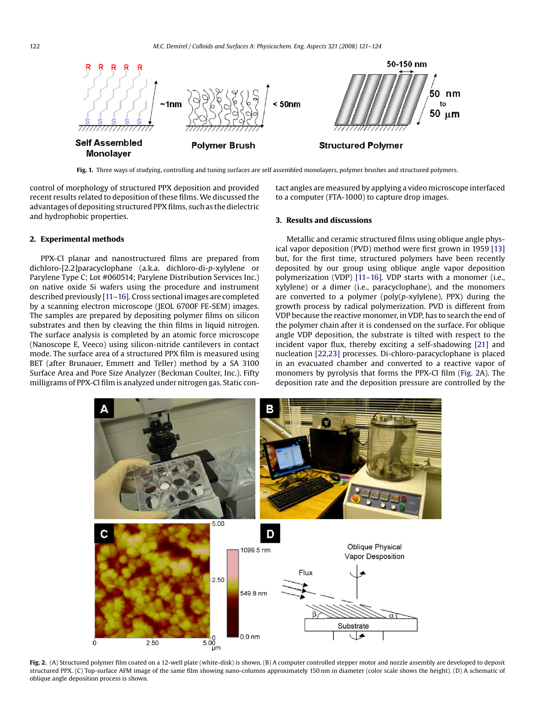<span id="page-1-0"></span>

**Fig. 1.** Three ways of studying, controlling and tuning surfaces are self assembled monolayers, polymer brushes and structured polymers.

control of morphology of structured PPX deposition and provided recent results related to deposition of these films. We discussed the advantages of depositing structured PPX films, such as the dielectric and hydrophobic properties.

tact angles are measured by applying a video microscope interfaced to a computer (FTA-1000) to capture drop images.

#### **2. Experimental methods**

PPX-Cl planar and nanostructured films are prepared from dichloro-[2.2]paracyclophane (a.k.a. dichloro-di-*p*-xylylene or Parylene Type C; Lot #060514; Parylene Distribution Services Inc.) on native oxide Si wafers using the procedure and instrument described previously [\[11–16\]. C](#page-3-0)ross sectional images are completed by a scanning electron microscope (JEOL 6700F FE-SEM) images. The samples are prepared by depositing polymer films on silicon substrates and then by cleaving the thin films in liquid nitrogen. The surface analysis is completed by an atomic force microscope (Nanoscope E, Veeco) using silicon-nitride cantilevers in contact mode. The surface area of a structured PPX film is measured using BET (after Brunauer, Emmett and Teller) method by a SA 3100 Surface Area and Pore Size Analyzer (Beckman Coulter, Inc.). Fifty milligrams of PPX-Cl film is analyzed under nitrogen gas. Static con-

### **3. Results and discussions**

Metallic and ceramic structured films using oblique angle physical vapor deposition (PVD) method were first grown in 1959 [\[13\]](#page-3-0) but, for the first time, structured polymers have been recently deposited by our group using oblique angle vapor deposition polymerization (VDP) [\[11–16\].](#page-3-0) VDP starts with a monomer (i.e., xylylene) or a dimer (i.e., paracyclophane), and the monomers are converted to a polymer (poly(*p*-xylylene), PPX) during the growth process by radical polymerization. PVD is different from VDP because the reactive monomer, in VDP, has to search the end of the polymer chain after it is condensed on the surface. For oblique angle VDP deposition, the substrate is tilted with respect to the incident vapor flux, thereby exciting a self-shadowing [\[21\]](#page-3-0) and nucleation [\[22,23\]](#page-3-0) processes. Di-chloro-paracyclophane is placed in an evacuated chamber and converted to a reactive vapor of monomers by pyrolysis that forms the PPX-Cl film (Fig. 2A). The deposition rate and the deposition pressure are controlled by the



Fig. 2. (A) Structured polymer film coated on a 12-well plate (white-disk) is shown. (B) A computer controlled stepper motor and nozzle assembly are developed to deposit structured PPX. (C) Top-surface AFM image of the same film showing nano-columns approximately 150 nm in diameter (color scale shows the height). (D) A schematic of oblique angle deposition process is shown.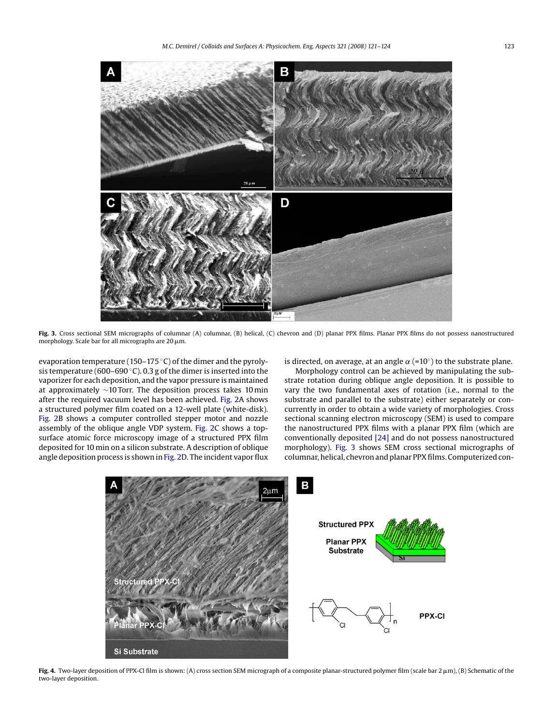<span id="page-2-0"></span>

Fig. 3. Cross sectional SEM micrographs of columnar (A) columnar, (B) helical, (C) chevron and (D) planar PPX films. Planar PPX films do not possess nanostructured morphology. Scale bar for all micrographs are 20  $\mu$ m.

evaporation temperature (150–175 ◦C) of the dimer and the pyrolysis temperature (600–690 °C). 0.3 g of the dimer is inserted into the vaporizer for each deposition, and the vapor pressure is maintained at approximately ∼10 Torr. The deposition process takes 10 min after the required vacuum level has been achieved. [Fig. 2A](#page-1-0) shows a structured polymer film coated on a 12-well plate (white-disk). [Fig. 2B](#page-1-0) shows a computer controlled stepper motor and nozzle assembly of the oblique angle VDP system. [Fig. 2C](#page-1-0) shows a topsurface atomic force microscopy image of a structured PPX film deposited for 10 min on a silicon substrate. A description of oblique angle deposition process is shown in [Fig. 2D](#page-1-0). The incident vapor flux is directed, on average, at an angle  $\alpha$  (=10°) to the substrate plane.

Morphology control can be achieved by manipulating the substrate rotation during oblique angle deposition. It is possible to vary the two fundamental axes of rotation (i.e., normal to the substrate and parallel to the substrate) either separately or concurrently in order to obtain a wide variety of morphologies. Cross sectional scanning electron microscopy (SEM) is used to compare the nanostructured PPX films with a planar PPX film (which are conventionally deposited [\[24\]](#page-3-0) and do not possess nanostructured morphology). Fig. 3 shows SEM cross sectional micrographs of columnar, helical, chevron and planar PPX films. Computerized con-



Fig. 4. Two-layer deposition of PPX-Cl film is shown: (A) cross section SEM micrograph of a composite planar-structured polymer film (scale bar 2 µm), (B) Schematic of the two-layer deposition.